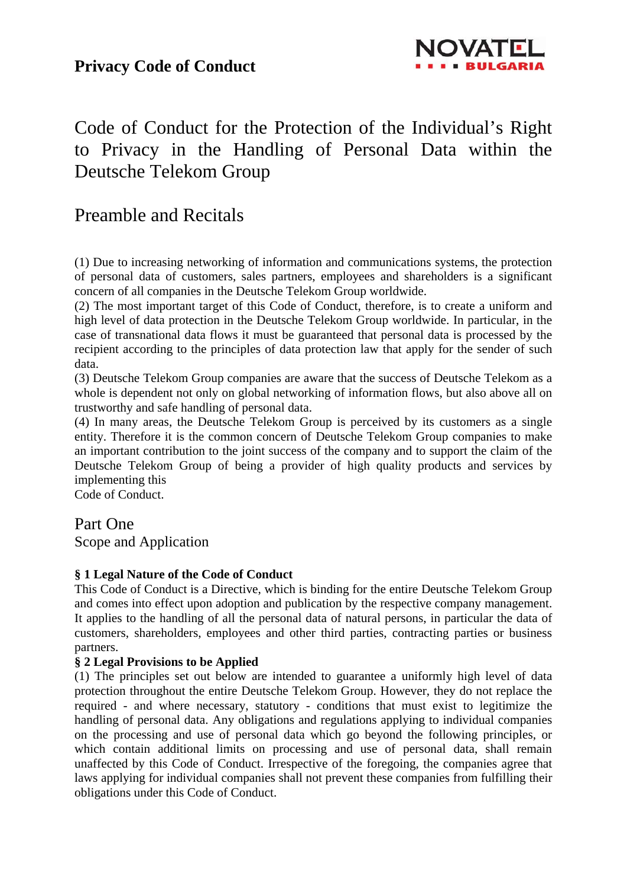

# Code of Conduct for the Protection of the Individual's Right to Privacy in the Handling of Personal Data within the Deutsche Telekom Group

# Preamble and Recitals

(1) Due to increasing networking of information and communications systems, the protection of personal data of customers, sales partners, employees and shareholders is a significant concern of all companies in the Deutsche Telekom Group worldwide.

(2) The most important target of this Code of Conduct, therefore, is to create a uniform and high level of data protection in the Deutsche Telekom Group worldwide. In particular, in the case of transnational data flows it must be guaranteed that personal data is processed by the recipient according to the principles of data protection law that apply for the sender of such data.

(3) Deutsche Telekom Group companies are aware that the success of Deutsche Telekom as a whole is dependent not only on global networking of information flows, but also above all on trustworthy and safe handling of personal data.

(4) In many areas, the Deutsche Telekom Group is perceived by its customers as a single entity. Therefore it is the common concern of Deutsche Telekom Group companies to make an important contribution to the joint success of the company and to support the claim of the Deutsche Telekom Group of being a provider of high quality products and services by implementing this

Code of Conduct.

# Part One

Scope and Application

# **§ 1 Legal Nature of the Code of Conduct**

This Code of Conduct is a Directive, which is binding for the entire Deutsche Telekom Group and comes into effect upon adoption and publication by the respective company management. It applies to the handling of all the personal data of natural persons, in particular the data of customers, shareholders, employees and other third parties, contracting parties or business partners.

# **§ 2 Legal Provisions to be Applied**

(1) The principles set out below are intended to guarantee a uniformly high level of data protection throughout the entire Deutsche Telekom Group. However, they do not replace the required - and where necessary, statutory - conditions that must exist to legitimize the handling of personal data. Any obligations and regulations applying to individual companies on the processing and use of personal data which go beyond the following principles, or which contain additional limits on processing and use of personal data, shall remain unaffected by this Code of Conduct. Irrespective of the foregoing, the companies agree that laws applying for individual companies shall not prevent these companies from fulfilling their obligations under this Code of Conduct.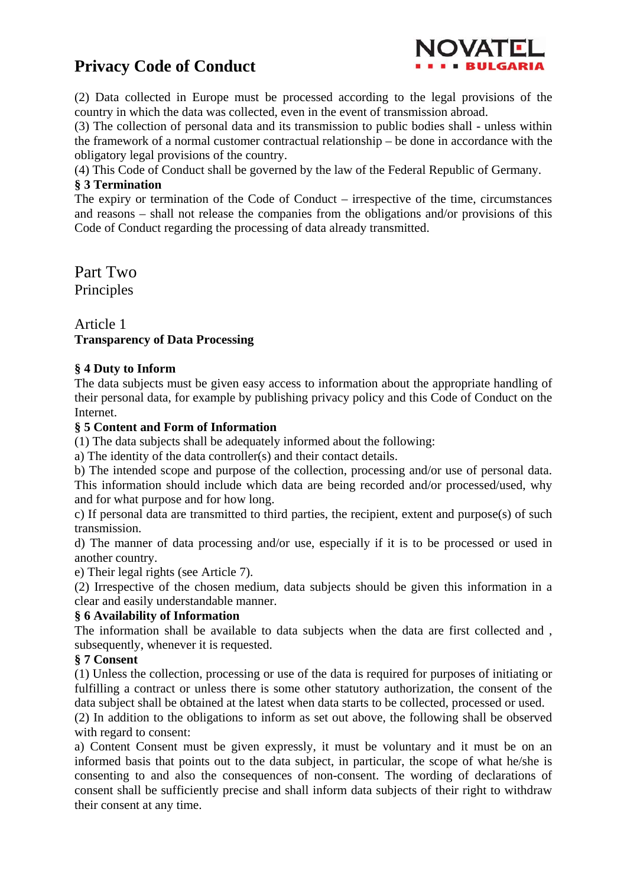

(2) Data collected in Europe must be processed according to the legal provisions of the country in which the data was collected, even in the event of transmission abroad.

(3) The collection of personal data and its transmission to public bodies shall - unless within the framework of a normal customer contractual relationship – be done in accordance with the obligatory legal provisions of the country.

(4) This Code of Conduct shall be governed by the law of the Federal Republic of Germany.

### **§ 3 Termination**

The expiry or termination of the Code of Conduct – irrespective of the time, circumstances and reasons – shall not release the companies from the obligations and/or provisions of this Code of Conduct regarding the processing of data already transmitted.

Part Two Principles

# Article 1 **Transparency of Data Processing**

# **§ 4 Duty to Inform**

The data subjects must be given easy access to information about the appropriate handling of their personal data, for example by publishing privacy policy and this Code of Conduct on the Internet.

### **§ 5 Content and Form of Information**

(1) The data subjects shall be adequately informed about the following:

a) The identity of the data controller(s) and their contact details.

b) The intended scope and purpose of the collection, processing and/or use of personal data. This information should include which data are being recorded and/or processed/used, why and for what purpose and for how long.

c) If personal data are transmitted to third parties, the recipient, extent and purpose(s) of such transmission.

d) The manner of data processing and/or use, especially if it is to be processed or used in another country.

e) Their legal rights (see Article 7).

(2) Irrespective of the chosen medium, data subjects should be given this information in a clear and easily understandable manner.

# **§ 6 Availability of Information**

The information shall be available to data subjects when the data are first collected and , subsequently, whenever it is requested.

### **§ 7 Consent**

(1) Unless the collection, processing or use of the data is required for purposes of initiating or fulfilling a contract or unless there is some other statutory authorization, the consent of the data subject shall be obtained at the latest when data starts to be collected, processed or used.

(2) In addition to the obligations to inform as set out above, the following shall be observed with regard to consent:

a) Content Consent must be given expressly, it must be voluntary and it must be on an informed basis that points out to the data subject, in particular, the scope of what he/she is consenting to and also the consequences of non-consent. The wording of declarations of consent shall be sufficiently precise and shall inform data subjects of their right to withdraw their consent at any time.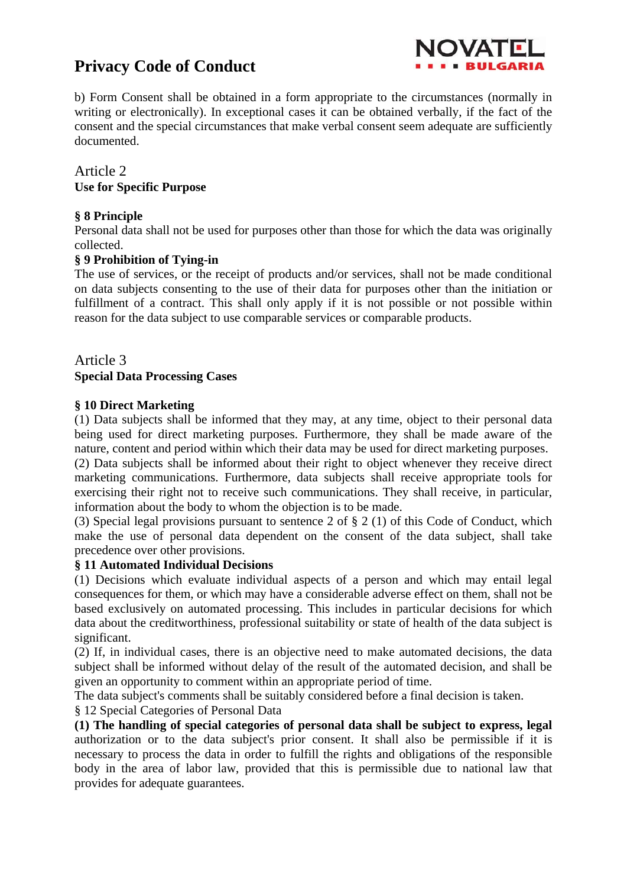

b) Form Consent shall be obtained in a form appropriate to the circumstances (normally in writing or electronically). In exceptional cases it can be obtained verbally, if the fact of the consent and the special circumstances that make verbal consent seem adequate are sufficiently documented.

# Article 2 **Use for Specific Purpose**

# **§ 8 Principle**

Personal data shall not be used for purposes other than those for which the data was originally collected.

### **§ 9 Prohibition of Tying-in**

The use of services, or the receipt of products and/or services, shall not be made conditional on data subjects consenting to the use of their data for purposes other than the initiation or fulfillment of a contract. This shall only apply if it is not possible or not possible within reason for the data subject to use comparable services or comparable products.

# Article 3 **Special Data Processing Cases**

### **§ 10 Direct Marketing**

(1) Data subjects shall be informed that they may, at any time, object to their personal data being used for direct marketing purposes. Furthermore, they shall be made aware of the nature, content and period within which their data may be used for direct marketing purposes.

(2) Data subjects shall be informed about their right to object whenever they receive direct marketing communications. Furthermore, data subjects shall receive appropriate tools for exercising their right not to receive such communications. They shall receive, in particular, information about the body to whom the objection is to be made.

(3) Special legal provisions pursuant to sentence 2 of § 2 (1) of this Code of Conduct, which make the use of personal data dependent on the consent of the data subject, shall take precedence over other provisions.

### **§ 11 Automated Individual Decisions**

(1) Decisions which evaluate individual aspects of a person and which may entail legal consequences for them, or which may have a considerable adverse effect on them, shall not be based exclusively on automated processing. This includes in particular decisions for which data about the creditworthiness, professional suitability or state of health of the data subject is significant.

(2) If, in individual cases, there is an objective need to make automated decisions, the data subject shall be informed without delay of the result of the automated decision, and shall be given an opportunity to comment within an appropriate period of time.

The data subject's comments shall be suitably considered before a final decision is taken.

§ 12 Special Categories of Personal Data

**(1) The handling of special categories of personal data shall be subject to express, legal** authorization or to the data subject's prior consent. It shall also be permissible if it is necessary to process the data in order to fulfill the rights and obligations of the responsible body in the area of labor law, provided that this is permissible due to national law that provides for adequate guarantees.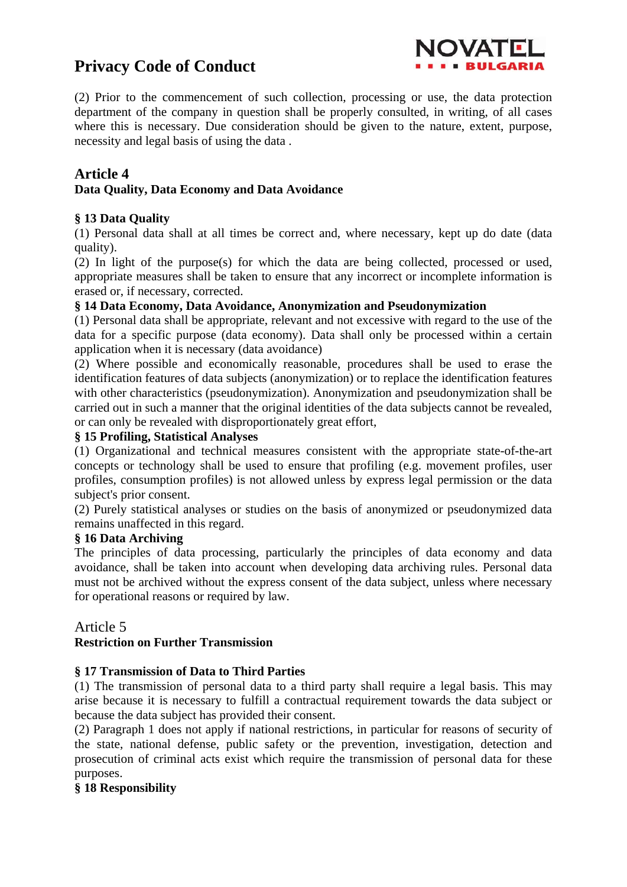

(2) Prior to the commencement of such collection, processing or use, the data protection department of the company in question shall be properly consulted, in writing, of all cases where this is necessary. Due consideration should be given to the nature, extent, purpose, necessity and legal basis of using the data .

# **Article 4**

# **Data Quality, Data Economy and Data Avoidance**

# **§ 13 Data Quality**

(1) Personal data shall at all times be correct and, where necessary, kept up do date (data quality).

(2) In light of the purpose(s) for which the data are being collected, processed or used, appropriate measures shall be taken to ensure that any incorrect or incomplete information is erased or, if necessary, corrected.

### **§ 14 Data Economy, Data Avoidance, Anonymization and Pseudonymization**

(1) Personal data shall be appropriate, relevant and not excessive with regard to the use of the data for a specific purpose (data economy). Data shall only be processed within a certain application when it is necessary (data avoidance)

(2) Where possible and economically reasonable, procedures shall be used to erase the identification features of data subjects (anonymization) or to replace the identification features with other characteristics (pseudonymization). Anonymization and pseudonymization shall be carried out in such a manner that the original identities of the data subjects cannot be revealed, or can only be revealed with disproportionately great effort,

### **§ 15 Profiling, Statistical Analyses**

(1) Organizational and technical measures consistent with the appropriate state-of-the-art concepts or technology shall be used to ensure that profiling (e.g. movement profiles, user profiles, consumption profiles) is not allowed unless by express legal permission or the data subject's prior consent.

(2) Purely statistical analyses or studies on the basis of anonymized or pseudonymized data remains unaffected in this regard.

## **§ 16 Data Archiving**

The principles of data processing, particularly the principles of data economy and data avoidance, shall be taken into account when developing data archiving rules. Personal data must not be archived without the express consent of the data subject, unless where necessary for operational reasons or required by law.

# Article 5

# **Restriction on Further Transmission**

# **§ 17 Transmission of Data to Third Parties**

(1) The transmission of personal data to a third party shall require a legal basis. This may arise because it is necessary to fulfill a contractual requirement towards the data subject or because the data subject has provided their consent.

(2) Paragraph 1 does not apply if national restrictions, in particular for reasons of security of the state, national defense, public safety or the prevention, investigation, detection and prosecution of criminal acts exist which require the transmission of personal data for these purposes.

# **§ 18 Responsibility**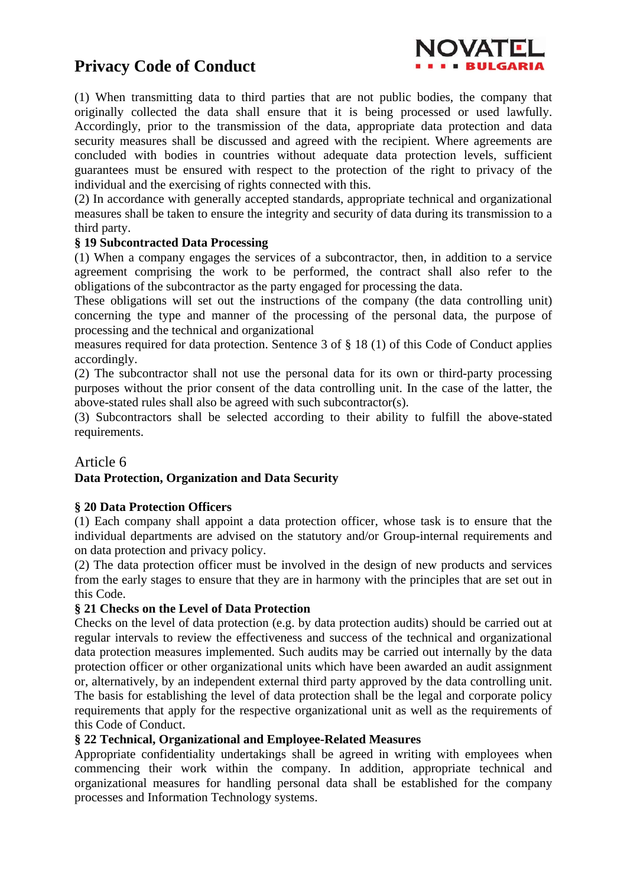

(1) When transmitting data to third parties that are not public bodies, the company that originally collected the data shall ensure that it is being processed or used lawfully. Accordingly, prior to the transmission of the data, appropriate data protection and data security measures shall be discussed and agreed with the recipient. Where agreements are concluded with bodies in countries without adequate data protection levels, sufficient guarantees must be ensured with respect to the protection of the right to privacy of the individual and the exercising of rights connected with this.

(2) In accordance with generally accepted standards, appropriate technical and organizational measures shall be taken to ensure the integrity and security of data during its transmission to a third party.

### **§ 19 Subcontracted Data Processing**

(1) When a company engages the services of a subcontractor, then, in addition to a service agreement comprising the work to be performed, the contract shall also refer to the obligations of the subcontractor as the party engaged for processing the data.

These obligations will set out the instructions of the company (the data controlling unit) concerning the type and manner of the processing of the personal data, the purpose of processing and the technical and organizational

measures required for data protection. Sentence 3 of § 18 (1) of this Code of Conduct applies accordingly.

(2) The subcontractor shall not use the personal data for its own or third-party processing purposes without the prior consent of the data controlling unit. In the case of the latter, the above-stated rules shall also be agreed with such subcontractor(s).

(3) Subcontractors shall be selected according to their ability to fulfill the above-stated requirements.

# Article 6

### **Data Protection, Organization and Data Security**

### **§ 20 Data Protection Officers**

(1) Each company shall appoint a data protection officer, whose task is to ensure that the individual departments are advised on the statutory and/or Group-internal requirements and on data protection and privacy policy.

(2) The data protection officer must be involved in the design of new products and services from the early stages to ensure that they are in harmony with the principles that are set out in this Code.

#### **§ 21 Checks on the Level of Data Protection**

Checks on the level of data protection (e.g. by data protection audits) should be carried out at regular intervals to review the effectiveness and success of the technical and organizational data protection measures implemented. Such audits may be carried out internally by the data protection officer or other organizational units which have been awarded an audit assignment or, alternatively, by an independent external third party approved by the data controlling unit. The basis for establishing the level of data protection shall be the legal and corporate policy requirements that apply for the respective organizational unit as well as the requirements of this Code of Conduct.

### **§ 22 Technical, Organizational and Employee-Related Measures**

Appropriate confidentiality undertakings shall be agreed in writing with employees when commencing their work within the company. In addition, appropriate technical and organizational measures for handling personal data shall be established for the company processes and Information Technology systems.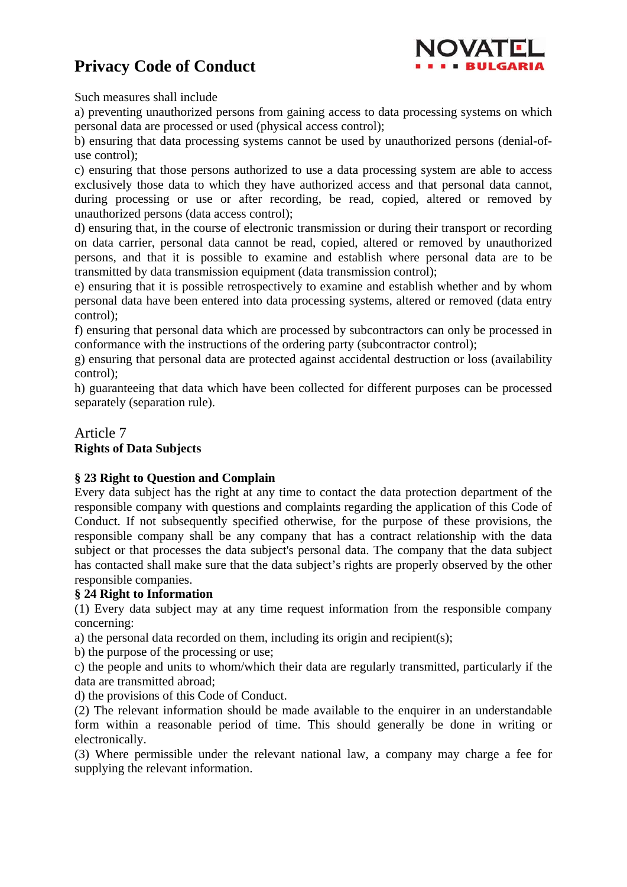

Such measures shall include

a) preventing unauthorized persons from gaining access to data processing systems on which personal data are processed or used (physical access control);

b) ensuring that data processing systems cannot be used by unauthorized persons (denial-ofuse control);

c) ensuring that those persons authorized to use a data processing system are able to access exclusively those data to which they have authorized access and that personal data cannot, during processing or use or after recording, be read, copied, altered or removed by unauthorized persons (data access control);

d) ensuring that, in the course of electronic transmission or during their transport or recording on data carrier, personal data cannot be read, copied, altered or removed by unauthorized persons, and that it is possible to examine and establish where personal data are to be transmitted by data transmission equipment (data transmission control);

e) ensuring that it is possible retrospectively to examine and establish whether and by whom personal data have been entered into data processing systems, altered or removed (data entry control);

f) ensuring that personal data which are processed by subcontractors can only be processed in conformance with the instructions of the ordering party (subcontractor control);

g) ensuring that personal data are protected against accidental destruction or loss (availability control);

h) guaranteeing that data which have been collected for different purposes can be processed separately (separation rule).

# Article 7 **Rights of Data Subjects**

# **§ 23 Right to Question and Complain**

Every data subject has the right at any time to contact the data protection department of the responsible company with questions and complaints regarding the application of this Code of Conduct. If not subsequently specified otherwise, for the purpose of these provisions, the responsible company shall be any company that has a contract relationship with the data subject or that processes the data subject's personal data. The company that the data subject has contacted shall make sure that the data subject's rights are properly observed by the other responsible companies.

# **§ 24 Right to Information**

(1) Every data subject may at any time request information from the responsible company concerning:

a) the personal data recorded on them, including its origin and recipient(s);

b) the purpose of the processing or use;

c) the people and units to whom/which their data are regularly transmitted, particularly if the data are transmitted abroad;

d) the provisions of this Code of Conduct.

(2) The relevant information should be made available to the enquirer in an understandable form within a reasonable period of time. This should generally be done in writing or electronically.

(3) Where permissible under the relevant national law, a company may charge a fee for supplying the relevant information.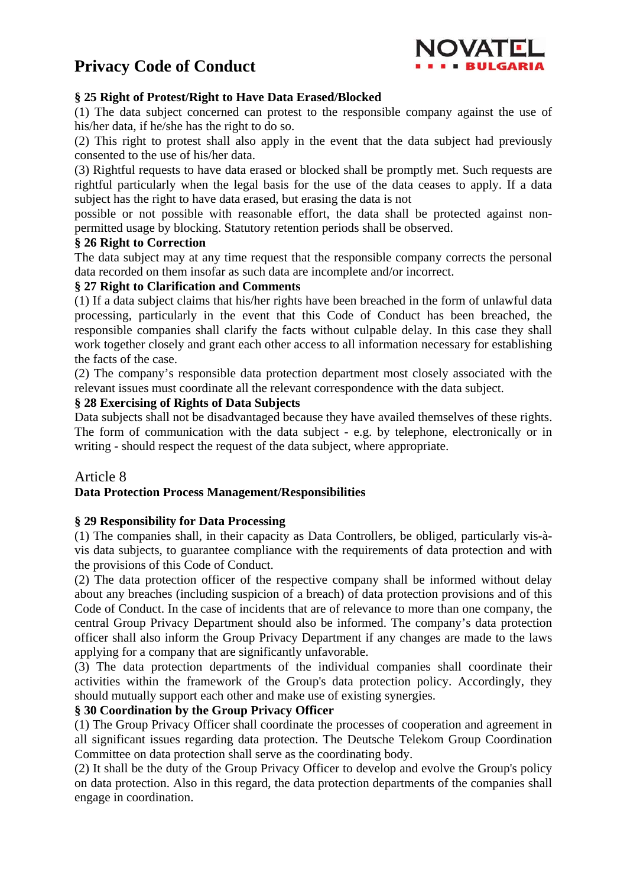

### **§ 25 Right of Protest/Right to Have Data Erased/Blocked**

(1) The data subject concerned can protest to the responsible company against the use of his/her data, if he/she has the right to do so.

(2) This right to protest shall also apply in the event that the data subject had previously consented to the use of his/her data.

(3) Rightful requests to have data erased or blocked shall be promptly met. Such requests are rightful particularly when the legal basis for the use of the data ceases to apply. If a data subject has the right to have data erased, but erasing the data is not

possible or not possible with reasonable effort, the data shall be protected against nonpermitted usage by blocking. Statutory retention periods shall be observed.

### **§ 26 Right to Correction**

The data subject may at any time request that the responsible company corrects the personal data recorded on them insofar as such data are incomplete and/or incorrect.

### **§ 27 Right to Clarification and Comments**

(1) If a data subject claims that his/her rights have been breached in the form of unlawful data processing, particularly in the event that this Code of Conduct has been breached, the responsible companies shall clarify the facts without culpable delay. In this case they shall work together closely and grant each other access to all information necessary for establishing the facts of the case.

(2) The company's responsible data protection department most closely associated with the relevant issues must coordinate all the relevant correspondence with the data subject.

### **§ 28 Exercising of Rights of Data Subjects**

Data subjects shall not be disadvantaged because they have availed themselves of these rights. The form of communication with the data subject - e.g. by telephone, electronically or in writing - should respect the request of the data subject, where appropriate.

# Article 8

### **Data Protection Process Management/Responsibilities**

### **§ 29 Responsibility for Data Processing**

(1) The companies shall, in their capacity as Data Controllers, be obliged, particularly vis-àvis data subjects, to guarantee compliance with the requirements of data protection and with the provisions of this Code of Conduct.

(2) The data protection officer of the respective company shall be informed without delay about any breaches (including suspicion of a breach) of data protection provisions and of this Code of Conduct. In the case of incidents that are of relevance to more than one company, the central Group Privacy Department should also be informed. The company's data protection officer shall also inform the Group Privacy Department if any changes are made to the laws applying for a company that are significantly unfavorable.

(3) The data protection departments of the individual companies shall coordinate their activities within the framework of the Group's data protection policy. Accordingly, they should mutually support each other and make use of existing synergies.

### **§ 30 Coordination by the Group Privacy Officer**

(1) The Group Privacy Officer shall coordinate the processes of cooperation and agreement in all significant issues regarding data protection. The Deutsche Telekom Group Coordination Committee on data protection shall serve as the coordinating body.

(2) It shall be the duty of the Group Privacy Officer to develop and evolve the Group's policy on data protection. Also in this regard, the data protection departments of the companies shall engage in coordination.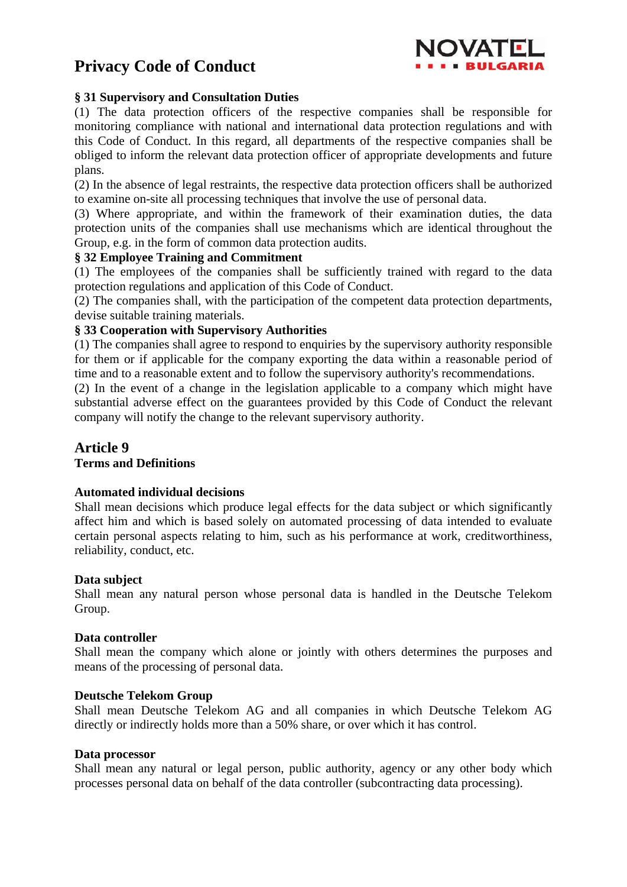

### **§ 31 Supervisory and Consultation Duties**

(1) The data protection officers of the respective companies shall be responsible for monitoring compliance with national and international data protection regulations and with this Code of Conduct. In this regard, all departments of the respective companies shall be obliged to inform the relevant data protection officer of appropriate developments and future plans.

(2) In the absence of legal restraints, the respective data protection officers shall be authorized to examine on-site all processing techniques that involve the use of personal data.

(3) Where appropriate, and within the framework of their examination duties, the data protection units of the companies shall use mechanisms which are identical throughout the Group, e.g. in the form of common data protection audits.

### **§ 32 Employee Training and Commitment**

(1) The employees of the companies shall be sufficiently trained with regard to the data protection regulations and application of this Code of Conduct.

(2) The companies shall, with the participation of the competent data protection departments, devise suitable training materials.

### **§ 33 Cooperation with Supervisory Authorities**

(1) The companies shall agree to respond to enquiries by the supervisory authority responsible for them or if applicable for the company exporting the data within a reasonable period of time and to a reasonable extent and to follow the supervisory authority's recommendations.

(2) In the event of a change in the legislation applicable to a company which might have substantial adverse effect on the guarantees provided by this Code of Conduct the relevant company will notify the change to the relevant supervisory authority.

# **Article 9**

### **Terms and Definitions**

### **Automated individual decisions**

Shall mean decisions which produce legal effects for the data subject or which significantly affect him and which is based solely on automated processing of data intended to evaluate certain personal aspects relating to him, such as his performance at work, creditworthiness, reliability, conduct, etc.

### **Data subject**

Shall mean any natural person whose personal data is handled in the Deutsche Telekom Group.

### **Data controller**

Shall mean the company which alone or jointly with others determines the purposes and means of the processing of personal data.

### **Deutsche Telekom Group**

Shall mean Deutsche Telekom AG and all companies in which Deutsche Telekom AG directly or indirectly holds more than a 50% share, or over which it has control.

### **Data processor**

Shall mean any natural or legal person, public authority, agency or any other body which processes personal data on behalf of the data controller (subcontracting data processing).